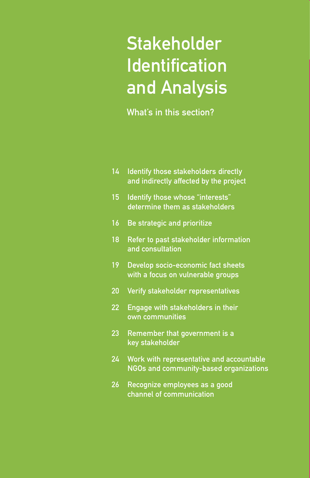# **Stakeholder Identification** and Analysis

What's in this section?

|  | 14 Identify those stakeholders directly                                                                                                                                                                                                                                                                                                                                                                               |
|--|-----------------------------------------------------------------------------------------------------------------------------------------------------------------------------------------------------------------------------------------------------------------------------------------------------------------------------------------------------------------------------------------------------------------------|
|  | and indirectly affected by the project                                                                                                                                                                                                                                                                                                                                                                                |
|  | $\mathbf{A} \mathbf{F} = \mathbf{I} \mathbf{I} + \mathbf{I} \mathbf{F} \mathbf{F} \mathbf{I} + \mathbf{I} \mathbf{F} \mathbf{F} \mathbf{F} \mathbf{F} \mathbf{F} \mathbf{F} \mathbf{F} \mathbf{F} \mathbf{F} \mathbf{F} \mathbf{F} \mathbf{F} \mathbf{F} \mathbf{F} \mathbf{F} \mathbf{F} \mathbf{F} \mathbf{F} \mathbf{F} \mathbf{F} \mathbf{F} \mathbf{F} \mathbf{F} \mathbf{F} \mathbf{F} \mathbf{F} \mathbf{F} \$ |

- 15 Identify those whose "interests" determine them as stakeholders
- 16 Be strategic and prioritize
- 18 Refer to past stakeholder information and consultation
- 19 Develop socio-economic fact sheets with a focus on vulnerable groups
- 20 Verify stakeholder representatives
- 22 Engage with stakeholders in their own communities
- 23 Remember that government is a key stakeholder
- 24 Work with representative and accountable NGOs and community-based organizations
- 26 Recognize employees as a good channel of communication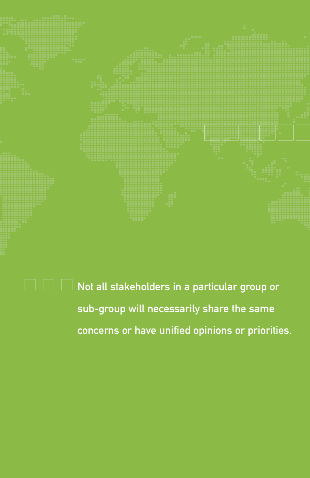

 $\Box\Box\Box$  Not all stakeholders in a particular group or sub-group will necessarily share the same concerns or have unified opinions or priorities.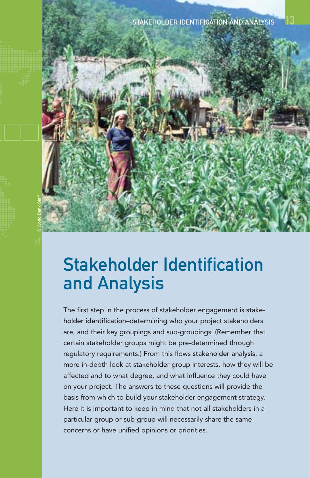

© World Bank Staff

The first step in the process of stakeholder engagement is stakeholder identification–determining who your project stakeholders are, and their key groupings and sub-groupings. (Remember that certain stakeholder groups might be pre-determined through regulatory requirements.) From this flows stakeholder analysis, a more in-depth look at stakeholder group interests, how they will be affected and to what degree, and what influence they could have on your project. The answers to these questions will provide the basis from which to build your stakeholder engagement strategy. Here it is important to keep in mind that not all stakeholders in a particular group or sub-group will necessarily share the same concerns or have unified opinions or priorities.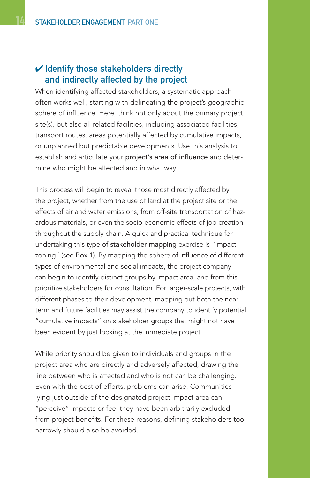### $\boldsymbol{\checkmark}$  Identify those stakeholders directly and indirectly affected by the project

When identifying affected stakeholders, a systematic approach often works well, starting with delineating the project's geographic sphere of influence. Here, think not only about the primary project site(s), but also all related facilities, including associated facilities, transport routes, areas potentially affected by cumulative impacts, or unplanned but predictable developments. Use this analysis to establish and articulate your project's area of influence and determine who might be affected and in what way.

This process will begin to reveal those most directly affected by the project, whether from the use of land at the project site or the effects of air and water emissions, from off-site transportation of hazardous materials, or even the socio-economic effects of job creation throughout the supply chain. A quick and practical technique for undertaking this type of stakeholder mapping exercise is "impact zoning" (see Box 1). By mapping the sphere of influence of different types of environmental and social impacts, the project company can begin to identify distinct groups by impact area, and from this prioritize stakeholders for consultation. For larger-scale projects, with different phases to their development, mapping out both the nearterm and future facilities may assist the company to identify potential "cumulative impacts" on stakeholder groups that might not have been evident by just looking at the immediate project.

While priority should be given to individuals and groups in the project area who are directly and adversely affected, drawing the line between who is affected and who is not can be challenging. Even with the best of efforts, problems can arise. Communities lying just outside of the designated project impact area can "perceive" impacts or feel they have been arbitrarily excluded from project benefits. For these reasons, defining stakeholders too narrowly should also be avoided.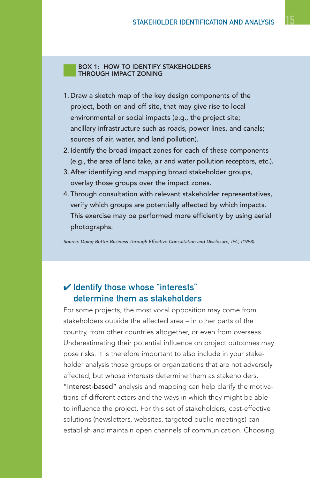#### BOX 1: HOW TO IDENTIFY STAKEHOLDERS THROUGH IMPACT ZONING

- 1. Draw a sketch map of the key design components of the project, both on and off site, that may give rise to local environmental or social impacts (e.g., the project site; ancillary infrastructure such as roads, power lines, and canals; sources of air, water, and land pollution).
- 2. Identify the broad impact zones for each of these components (e.g., the area of land take, air and water pollution receptors, etc.).
- 3. After identifying and mapping broad stakeholder groups, overlay those groups over the impact zones.
- 4. Through consultation with relevant stakeholder representatives, verify which groups are potentially affected by which impacts. This exercise may be performed more efficiently by using aerial photographs.

Source: Doing Better Business Through Effective Consultation and Disclosure, IFC, (1998).

### ✔ Identify those whose "interests" determine them as stakeholders

For some projects, the most vocal opposition may come from stakeholders outside the affected area – in other parts of the country, from other countries altogether, or even from overseas. Underestimating their potential influence on project outcomes may pose risks. It is therefore important to also include in your stakeholder analysis those groups or organizations that are not adversely affected, but whose interests determine them as stakeholders. "Interest-based" analysis and mapping can help clarify the motivations of different actors and the ways in which they might be able to influence the project. For this set of stakeholders, cost-effective solutions (newsletters, websites, targeted public meetings) can establish and maintain open channels of communication. Choosing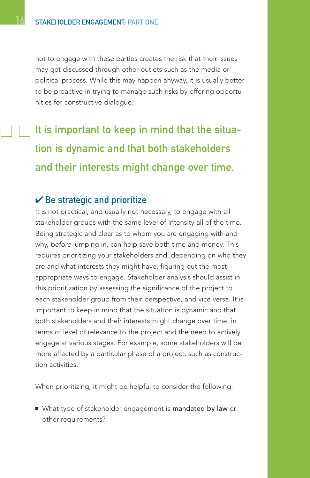not to engage with these parties creates the risk that their issues may get discussed through other outlets such as the media or political process. While this may happen anyway, it is usually better to be proactive in trying to manage such risks by offering opportunities for constructive dialogue.

## It is important to keep in mind that the situation is dynamic and that both stakeholders and their interests might change over time.

#### $\vee$  Be strategic and prioritize

It is not practical, and usually not necessary, to engage with all stakeholder groups with the same level of intensity all of the time. Being strategic and clear as to whom you are engaging with and why, before jumping in, can help save both time and money. This requires prioritizing your stakeholders and, depending on who they are and what interests they might have, figuring out the most appropriate ways to engage. Stakeholder analysis should assist in this prioritization by assessing the significance of the project to each stakeholder group from their perspective, and vice versa. It is important to keep in mind that the situation is dynamic and that both stakeholders and their interests might change over time, in terms of level of relevance to the project and the need to actively engage at various stages. For example, some stakeholders will be more affected by a particular phase of a project, such as construction activities.

When prioritizing, it might be helpful to consider the following:

■ What type of stakeholder engagement is mandated by law or other requirements?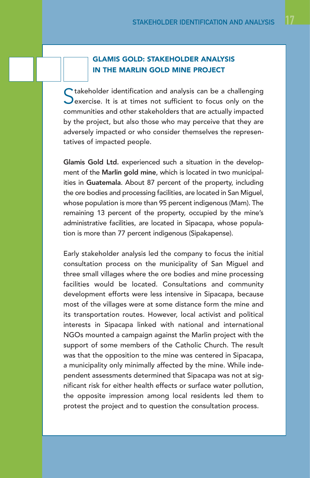#### GLAMIS GOLD: STAKEHOLDER ANALYSIS IN THE MARLIN GOLD MINE PROJECT

 $\bigcap$  takeholder identification and analysis can be a challenging  $\sum$  exercise. It is at times not sufficient to focus only on the communities and other stakeholders that are actually impacted by the project, but also those who may perceive that they are adversely impacted or who consider themselves the representatives of impacted people.

Glamis Gold Ltd. experienced such a situation in the development of the Marlin gold mine, which is located in two municipalities in Guatemala. About 87 percent of the property, including the ore bodies and processing facilities, are located in San Miguel, whose population is more than 95 percent indigenous (Mam). The remaining 13 percent of the property, occupied by the mine's administrative facilities, are located in Sipacapa, whose population is more than 77 percent indigenous (Sipakapense).

Early stakeholder analysis led the company to focus the initial consultation process on the municipality of San Miguel and three small villages where the ore bodies and mine processing facilities would be located. Consultations and community development efforts were less intensive in Sipacapa, because most of the villages were at some distance form the mine and its transportation routes. However, local activist and political interests in Sipacapa linked with national and international NGOs mounted a campaign against the Marlin project with the support of some members of the Catholic Church. The result was that the opposition to the mine was centered in Sipacapa, a municipality only minimally affected by the mine. While independent assessments determined that Sipacapa was not at significant risk for either health effects or surface water pollution, the opposite impression among local residents led them to protest the project and to question the consultation process.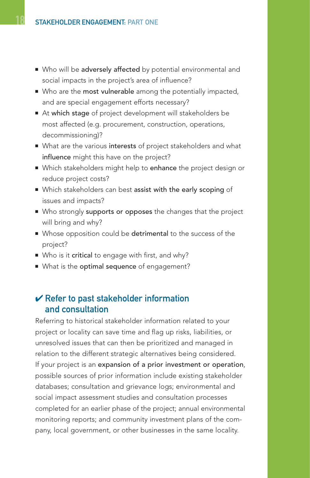- Who will be adversely affected by potential environmental and social impacts in the project's area of influence?
- Who are the most vulnerable among the potentially impacted, and are special engagement efforts necessary?
- At which stage of project development will stakeholders be most affected (e.g. procurement, construction, operations, decommissioning)?
- What are the various interests of project stakeholders and what influence might this have on the project?
- Which stakeholders might help to enhance the project design or reduce project costs?
- Which stakeholders can best assist with the early scoping of issues and impacts?
- Who strongly supports or opposes the changes that the project will bring and why?
- Whose opposition could be detrimental to the success of the project?
- Who is it critical to engage with first, and why?
- What is the optimal sequence of engagement?

#### $\vee$  Refer to past stakeholder information and consultation

Referring to historical stakeholder information related to your project or locality can save time and flag up risks, liabilities, or unresolved issues that can then be prioritized and managed in relation to the different strategic alternatives being considered. If your project is an expansion of a prior investment or operation, possible sources of prior information include existing stakeholder databases; consultation and grievance logs; environmental and social impact assessment studies and consultation processes completed for an earlier phase of the project; annual environmental monitoring reports; and community investment plans of the company, local government, or other businesses in the same locality.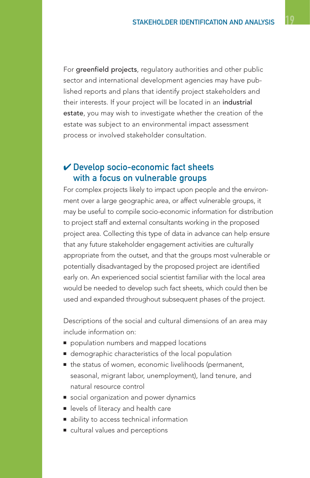For greenfield projects, regulatory authorities and other public sector and international development agencies may have published reports and plans that identify project stakeholders and their interests. If your project will be located in an industrial estate, you may wish to investigate whether the creation of the estate was subject to an environmental impact assessment process or involved stakeholder consultation.

#### $\checkmark$  Develop socio-economic fact sheets with a focus on vulnerable groups

For complex projects likely to impact upon people and the environment over a large geographic area, or affect vulnerable groups, it may be useful to compile socio-economic information for distribution to project staff and external consultants working in the proposed project area. Collecting this type of data in advance can help ensure that any future stakeholder engagement activities are culturally appropriate from the outset, and that the groups most vulnerable or potentially disadvantaged by the proposed project are identified early on. An experienced social scientist familiar with the local area would be needed to develop such fact sheets, which could then be used and expanded throughout subsequent phases of the project.

Descriptions of the social and cultural dimensions of an area may include information on:

- population numbers and mapped locations
- demographic characteristics of the local population
- the status of women, economic livelihoods (permanent, seasonal, migrant labor, unemployment), land tenure, and natural resource control
- social organization and power dynamics
- levels of literacy and health care
- ability to access technical information
- cultural values and perceptions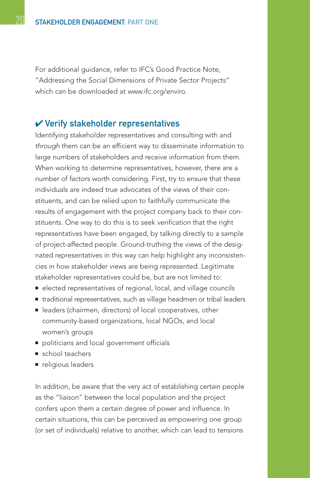For additional guidance, refer to IFC's Good Practice Note, "Addressing the Social Dimensions of Private Sector Projects" which can be downloaded at www.ifc.org/enviro.

#### ✔ Verify stakeholder representatives

Identifying stakeholder representatives and consulting with and through them can be an efficient way to disseminate information to large numbers of stakeholders and receive information from them. When working to determine representatives, however, there are a number of factors worth considering. First, try to ensure that these individuals are indeed true advocates of the views of their constituents, and can be relied upon to faithfully communicate the results of engagement with the project company back to their constituents. One way to do this is to seek verification that the right representatives have been engaged, by talking directly to a sample of project-affected people. Ground-truthing the views of the designated representatives in this way can help highlight any inconsistencies in how stakeholder views are being represented. Legitimate stakeholder representatives could be, but are not limited to:

- elected representatives of regional, local, and village councils
- traditional representatives, such as village headmen or tribal leaders
- leaders (chairmen, directors) of local cooperatives, other community-based organizations, local NGOs, and local women's groups
- politicians and local government officials
- school teachers
- religious leaders

In addition, be aware that the very act of establishing certain people as the "liaison" between the local population and the project confers upon them a certain degree of power and influence. In certain situations, this can be perceived as empowering one group (or set of individuals) relative to another, which can lead to tensions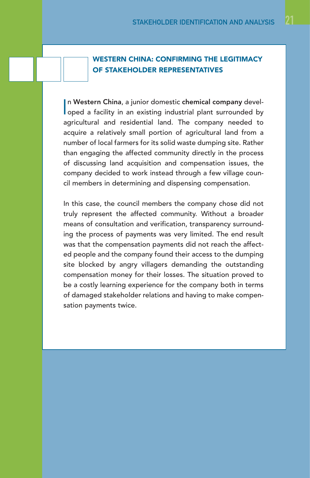#### WESTERN CHINA: CONFIRMING THE LEGITIMACY OF STAKEHOLDER REPRESENTATIVES

In Western China, a junior domestic chemical company devel-<br>oped a facility in an existing industrial plant surrounded by n Western China, a junior domestic chemical company develagricultural and residential land. The company needed to acquire a relatively small portion of agricultural land from a number of local farmers for its solid waste dumping site. Rather than engaging the affected community directly in the process of discussing land acquisition and compensation issues, the company decided to work instead through a few village council members in determining and dispensing compensation.

In this case, the council members the company chose did not truly represent the affected community. Without a broader means of consultation and verification, transparency surrounding the process of payments was very limited. The end result was that the compensation payments did not reach the affected people and the company found their access to the dumping site blocked by angry villagers demanding the outstanding compensation money for their losses. The situation proved to be a costly learning experience for the company both in terms of damaged stakeholder relations and having to make compensation payments twice.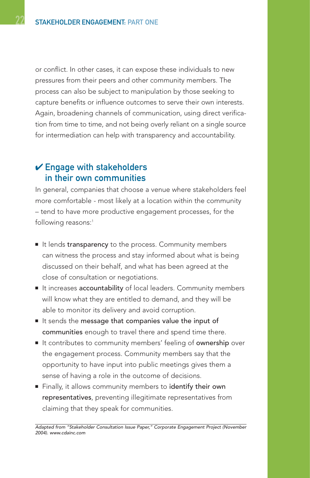or conflict. In other cases, it can expose these individuals to new pressures from their peers and other community members. The process can also be subject to manipulation by those seeking to capture benefits or influence outcomes to serve their own interests. Again, broadening channels of communication, using direct verification from time to time, and not being overly reliant on a single source for intermediation can help with transparency and accountability.

### $V$  Engage with stakeholders in their own communities

In general, companies that choose a venue where stakeholders feel more comfortable - most likely at a location within the community – tend to have more productive engagement processes, for the following reasons:<sup>1</sup>

- It lends transparency to the process. Community members can witness the process and stay informed about what is being discussed on their behalf, and what has been agreed at the close of consultation or negotiations.
- It increases accountability of local leaders. Community members will know what they are entitled to demand, and they will be able to monitor its delivery and avoid corruption.
- It sends the message that companies value the input of communities enough to travel there and spend time there.
- It contributes to community members' feeling of **ownership** over the engagement process. Community members say that the opportunity to have input into public meetings gives them a sense of having a role in the outcome of decisions.
- Finally, it allows community members to identify their own representatives, preventing illegitimate representatives from claiming that they speak for communities.

Adapted from "Stakeholder Consultation Issue Paper," Corporate Engagement Project (November 2004). www.cdainc.com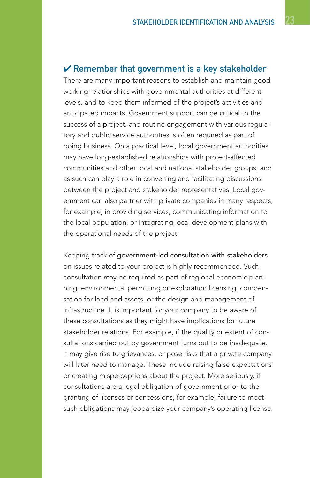#### $\vee$  Remember that government is a key stakeholder

There are many important reasons to establish and maintain good working relationships with governmental authorities at different levels, and to keep them informed of the project's activities and anticipated impacts. Government support can be critical to the success of a project, and routine engagement with various regulatory and public service authorities is often required as part of doing business. On a practical level, local government authorities may have long-established relationships with project-affected communities and other local and national stakeholder groups, and as such can play a role in convening and facilitating discussions between the project and stakeholder representatives. Local government can also partner with private companies in many respects, for example, in providing services, communicating information to the local population, or integrating local development plans with the operational needs of the project.

Keeping track of government-led consultation with stakeholders on issues related to your project is highly recommended. Such consultation may be required as part of regional economic planning, environmental permitting or exploration licensing, compensation for land and assets, or the design and management of infrastructure. It is important for your company to be aware of these consultations as they might have implications for future stakeholder relations. For example, if the quality or extent of consultations carried out by government turns out to be inadequate, it may give rise to grievances, or pose risks that a private company will later need to manage. These include raising false expectations or creating misperceptions about the project. More seriously, if consultations are a legal obligation of government prior to the granting of licenses or concessions, for example, failure to meet such obligations may jeopardize your company's operating license.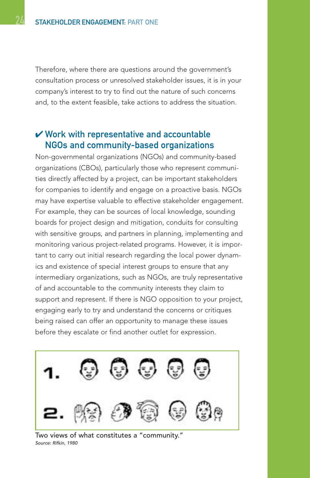Therefore, where there are questions around the government's consultation process or unresolved stakeholder issues, it is in your company's interest to try to find out the nature of such concerns and, to the extent feasible, take actions to address the situation.

#### $\boldsymbol{\nu}$  Work with representative and accountable NGOs and community-based organizations

Non-governmental organizations (NGOs) and community-based organizations (CBOs), particularly those who represent communities directly affected by a project, can be important stakeholders for companies to identify and engage on a proactive basis. NGOs may have expertise valuable to effective stakeholder engagement. For example, they can be sources of local knowledge, sounding boards for project design and mitigation, conduits for consulting with sensitive groups, and partners in planning, implementing and monitoring various project-related programs. However, it is important to carry out initial research regarding the local power dynamics and existence of special interest groups to ensure that any intermediary organizations, such as NGOs, are truly representative of and accountable to the community interests they claim to support and represent. If there is NGO opposition to your project, engaging early to try and understand the concerns or critiques being raised can offer an opportunity to manage these issues before they escalate or find another outlet for expression.



Two views of what constitutes a "community." Source: Rifkin, 1980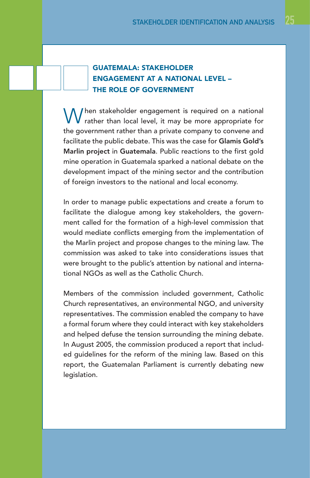#### GUATEMALA: STAKEHOLDER ENGAGEMENT AT A NATIONAL LEVEL – THE ROLE OF GOVERNMENT

 $\bigcup$  hen stakeholder engagement is required on a national rather than local level, it may be more appropriate for the government rather than a private company to convene and facilitate the public debate. This was the case for Glamis Gold's Marlin project in Guatemala. Public reactions to the first gold mine operation in Guatemala sparked a national debate on the development impact of the mining sector and the contribution of foreign investors to the national and local economy.

In order to manage public expectations and create a forum to facilitate the dialogue among key stakeholders, the government called for the formation of a high-level commission that would mediate conflicts emerging from the implementation of the Marlin project and propose changes to the mining law. The commission was asked to take into considerations issues that were brought to the public's attention by national and international NGOs as well as the Catholic Church.

Members of the commission included government, Catholic Church representatives, an environmental NGO, and university representatives. The commission enabled the company to have a formal forum where they could interact with key stakeholders and helped defuse the tension surrounding the mining debate. In August 2005, the commission produced a report that included guidelines for the reform of the mining law. Based on this report, the Guatemalan Parliament is currently debating new legislation.